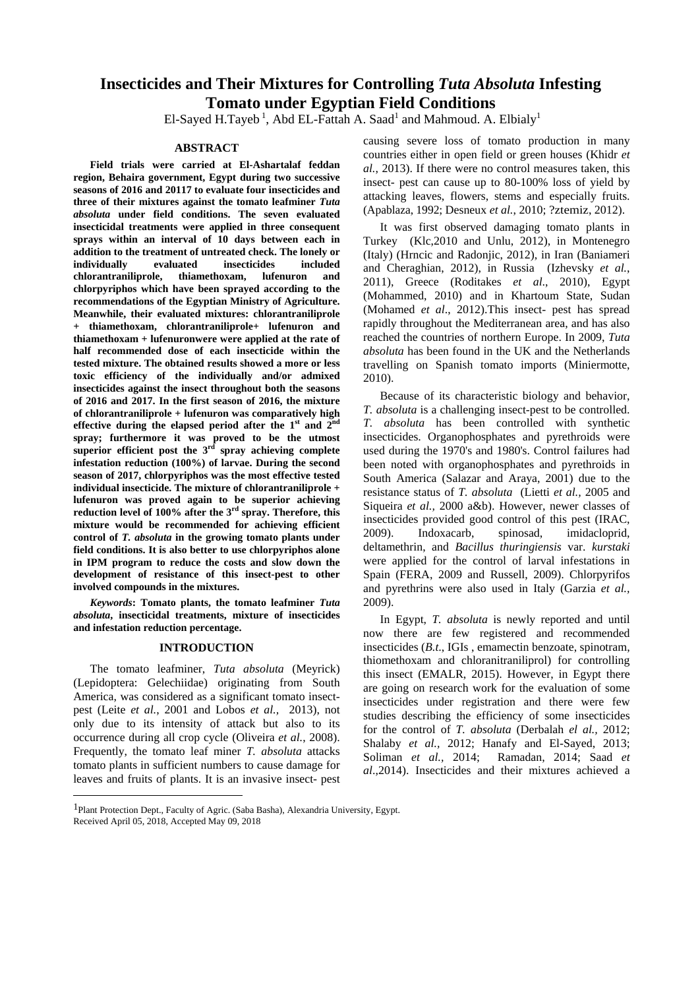## **Insecticides and Their Mixtures for Controlling** *Tuta Absoluta* **Infesting Tomato under Egyptian Field Conditions**

El-Sayed H.Tayeb<sup>1</sup>, Abd EL-Fattah A. Saad<sup>1</sup> and Mahmoud. A. Elbialy<sup>1</sup> and Mahmoud. A.  $Elbialy<sup>1</sup>$ 

**Field trials were carried at El-Ashartalaf feddan region, Behaira government, Egypt during two successive seasons of 2016 and 20117 to evaluate four insecticides and three of their mixtures against the tomato leafminer** *Tuta absoluta* **under field conditions. The seven evaluated insecticidal treatments were applied in three consequent sprays within an interval of <sup>10</sup> days between each in addition to the treatment of untreated check. The lonely or individually evaluated insecticides included** and Cheraghian, 2012), in Russia (Izhevsky *et al.*, **chlorantraniliprole, thiamethoxam, lufenuron and chlorpyriphos** which have been sprayed according to the  $\frac{2011}{\pi}$ , Greece (Roditakes *et al.*, 2010), Egypt **recommendations of the Egyptian Ministry of Agriculture. Meanwhile, their evaluated mixtures: chlorantraniliprole + thiamethoxam, chlorantraniliprole+ lufenuron and thiamethoxam + lufenuronwere were applied at the rate of half recommended dose of each insecticide within the** *absoluta* has been found in the UK and the Netherlands **tested mixture. The obtained results showed a more or less** travelling on Spanish tomato imports (Miniermotte, **toxic efficiency of the individually and/or admixed insecticides against the insect throughout both the seasons of 2016 and 2017. In the first season of 2016, the mixture of chlorantraniliprole + lufenuron was comparatively high effective during the elapsed period after the 1 spray; furthermore it was proved to be the utmostsuperior efficient post the <sup>3</sup> infestation reduction (100%) of larvae. During the second season of 2017, chlorpyriphos was the most effective tested South America (Salazar and Araya, 2001) due to the individual insecticide. The mixture of chlorantraniliprole + lufenuron was proved again to be superior achieving reduction** level of 100% after the  $3^{rd}$  spray. Therefore, this equation is  $u_i$ ,  $\frac{1}{2}$  and  $\frac{1}{2}$  and  $\frac{1}{2}$  and  $\frac{1}{2}$  and  $\frac{1}{2}$  and  $\frac{1}{2}$  and  $\frac{1}{2}$ mixture would be recommended for achieving efficient<br>
acontrol of T absolute in the growing tempts plants under<br>  $\frac{2009}{\text{mod}x}$  Indoxacarb, spinosad, imidacloprid, control of *T. absoluta* in the growing tomato plants under<br>
field conditions It is also better to use chlorovriphos alone deltamethrin, and *Bacillus thuringiensis* var. *kurstaki* **field conditions. It is also better to use chlorpyriphos alone in IPM program to reduce the costs and slow down the development of resistance of this insect-pest to other** Spain (FERA, 2009 and Russell, 2009). Chlorpyrifos

*Keywords***: Tomato plants, the tomato leafminer** *Tuta absoluta***, insecticidal treatments, mixture of insecticides and infestation reduction percentage.**

The tomato leafminer, *Tuta absoluta* (Meyrick) (Lepidoptera: Gelechiidae) originating from South America, was considered as a significant tomato insect pest (Leite *et al.*, 2001 and Lobos *et al.,* 2013), not only due to its intensity of attack but also to its occurrence during all crop cycle (Oliveira *et al.*, 2008). Frequently, the tomato leaf miner *T. absoluta* attacks tomato plants in sufficient numbers to cause damage for leaves and fruits of plants. It is an invasive insect- pest

**ABSTRACT** causing several contribution of the contribution of the contribution of the contribution of the contribution of  $\mathbb{Z}$ causing severe loss of tomato production in many countries either in open field or green houses (Khidr *et al.*, 2013). If there were no control measures taken, this insect- pest can cause up to 80-100% loss of yield by attacking leaves, flowers, stems and especially fruits. (Apablaza, 1992; Desneux *et al.*, 2010; ?ztemiz, 2012).

> It was first observed damaging tomato plants in Turkey (Klc,2010 and Unlu, 2012), in Montenegro (Italy) (Hrncic and Radonjic, 2012), in Iran (Baniameri and Cheraghian, 2012), in Russia (Izhevsky *et al.*, 2011), Greece (Roditakes *et al*., 2010), Egypt (Mohammed, 2010) and in Khartoum State, Sudan (Mohamed *et al*., 2012).This insect- pest has spread rapidly throughout the Mediterranean area, and has also reached the countries of northern Europe. In 2009, *Tuta*  2010).

**st and 2nd** *T. absoluta* has been controlled with synthetic **rd spray achieving complete** used during the 1970's and 1980's. Control failures had **rd spray. Therefore, this involved compounds in the mixtures.** and pyrethrins were also used in Italy (Garzia *et al.,* Because of its characteristic biology and behavior, *T. absoluta* is a challenging insect-pest to be controlled. insecticides. Organophosphates and pyrethroids were been noted with organophosphates and pyrethroids in resistance status of *T. absoluta* (Lietti *et al.,* 2005 and Siqueira *et al.,* 2000 a&b). However, newer classes of insecticides provided good control of this pest (IRAC, 2009). Indoxacarb, spinosad, imidacloprid, deltamethrin, and *Bacillus thuringiensis* var. *kurstaki*  were applied for the control of larval infestations in 2009).

**INTRODUCTION** insecticides (*B.t.*, IGIs, emamectin benzoate, spinotram, In Egypt, *T. absoluta* is newly reported and until now there are few registered and recommended thiomethoxam and chloranitraniliprol) for controlling this insect (EMALR, 2015). However, in Egypt there are going on research work for the evaluation of some insecticides under registration and there were few studies describing the efficiency of some insecticides for the control of *T. absoluta* (Derbalah *el al.,* 2012; Shalaby *et al.,* 2012; Hanafy and El-Sayed, 2013; Soliman *et al.,* 2014; Ramadan, 2014; Saad *et al*.,2014). Insecticides and their mixtures achieved a

 <sup>1</sup>Plant Protection Dept., Faculty of Agric. (Saba Basha), Alexandria University, Egypt. Received April 05, 2018, Accepted May 09, 2018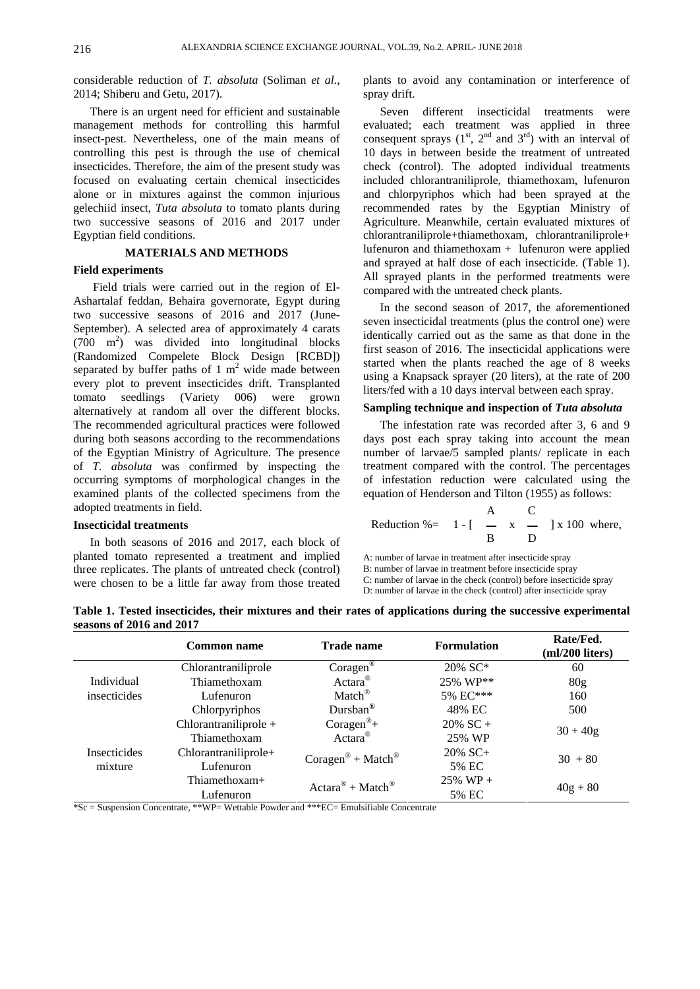considerable reduction of *T. absoluta* (Soliman *et al.,* plants to avoid any contamination or interference of 2014; Shiberu and Getu, 2017).

Egyptian field conditions. The conditions of the conditions of the conditions of the conditions of the conditions of the conditions of the conditions of the conditions of the conditions of the conditions of the conditions

Field trials were carried out in the region of El- Ashartalaf feddan, Behaira governorate, Egypt during two successive seasons of 2016 and 2017 (June- September). A selected area of approximately 4 carats  $(700 \text{ m}^2)$  was divided into longitudinal blocks  $\frac{\text{current}}{\text{first response}}$  of 2016. The insertional policiens was (Randomized Compelete Block Design [RCBD]) separated by buffer paths of 1  $m<sup>2</sup>$  wide made between every plot to prevent insecticides drift. Transplanted tomato seedlings (Variety 006) were grown alternatively at random all over the different blocks. The recommended agricultural practices were followed during both seasons according to the recommendations days post each spray taking into account the mean of the Egyptian Ministry of Agriculture. The presence of *T. absoluta* was confirmed by inspecting the treatment compared with the control. The percentages occurring symptoms of morphological changes in the of infestation reduction were calculated using the examined plants of the collected specimens from the adopted treatments in field.

In both seasons of 2016 and 2017, each block of planted tomato represented a treatment and implied three replicates. The plants of untreated check (control) were chosen to be a little far away from those treated spray drift.

There is an urgent need for efficient and sustainable Seven different insecticidal treatments were management methods for controlling this harmful evaluated; each treatment was applied in three insect-pest. Nevertheless, one of the main means of consequent sprays  $(1<sup>st</sup>, 2<sup>nd</sup>$  and  $3<sup>rd</sup>)$  with an interval of controlling this pest is through the use of chemical 10 days in between beside the treatment of untreated insecticides. Therefore, the aim of the present study was check (control). The adopted individual treatments focused on evaluating certain chemical insecticides included chlorantraniliprole, thiamethoxam, lufenuron alone or in mixtures against the common injurious and chlorpyriphos which had been sprayed at the gelechiid insect, *Tuta absoluta* to tomato plants during recommended rates by the Egyptian Ministry of two successive seasons of 2016 and 2017 under Agriculture. Meanwhile, certain evaluated mixtures of **MATERIALS AND METHODS Field experiments**<br>
All sprayed plants in the performed treatments were Seven different insecticidal rd) with an interval of chlorantraniliprole+thiamethoxam, chlorantraniliprole+ lufenuron and thiamethoxam + lufenuron were applied and sprayed at half dose of each insecticide. (Table 1). compared with the untreated check plants.

 $\frac{2}{3}$  was divided into longitudinal blocks identically carried out as the same as that done in the <sup>2</sup> wide made between statied when the plants reached the age of 8 weeks In the second season of 2017, the aforementioned seven insecticidal treatments (plus the control one) were first season of 2016. The insecticidal applications were started when the plants reached the age of 8 weeks using a Knapsack sprayer (20 liters), at the rate of 200 liters/fed with a 10 days interval between each spray.

### **Sampling technique and inspection of** *Tuta absoluta*

The infestation rate was recorded after 3, 6 and 9 number of larvae/5 sampled plants/ replicate in each equation of Henderson and Tilton (1955) as follows:

**Insecticidal treatments** <sup>A</sup> C Reduction %= <sup>1</sup> - [ <sup>x</sup> ] x 100 where, B D

A: number of larvae in treatment after insecticide spray

B: number of larvae in treatment before insecticide spray

C: number of larvae in the check (control) before insecticide spray

D: number of larvae in the check (control) after insecticide spray

**Table 1. Tested insecticides, their mixtures and their rates of applications during the successive experimental seasons of 2016 and 2017**

|              | <b>Common name</b>    | <b>Frade name</b>                                   | Formulation | Rate/Fed.<br>$(ml/200$ liters) |
|--------------|-----------------------|-----------------------------------------------------|-------------|--------------------------------|
|              | Chlorantraniliprole   | Corager <sup>'</sup>                                | 20% SC*     | 60                             |
| Individual   | Thiamethoxam          | $Actara^{\circ}$                                    | 25% WP**    |                                |
| insecticides | Lufenuron             | Match <sup>®</sup>                                  | 5% EC***    | 160                            |
|              | Chlorpyriphos         | Dursban                                             | 48% EC      | 500                            |
|              | Chlorantraniliprole - | $Coragen^{\mathcal{D}}$                             | $20\%$ SC + | $30 + 40g$                     |
|              | Thiamethoxam          | Actara                                              | 25% WP      |                                |
| Insecticides | Chlorantraniliprole+  | $\text{Coragen}^{\circledR}$ + Match $^{\circledR}$ | 20% SC+     | $30 + 80$                      |
| mixture      | Lufenuron             |                                                     | 5% EC       |                                |
|              | Thiamethoxam+         | $Actara^{\circledR} + Match^{\circledR}$            | $25\%$ WP + |                                |
|              | Lufenuron             |                                                     | 5% EC       | $40g + 80$                     |

\*Sc = Suspension Concentrate, \*\*WP= Wettable Powder and \*\*\*EC= Emulsifiable Concentrate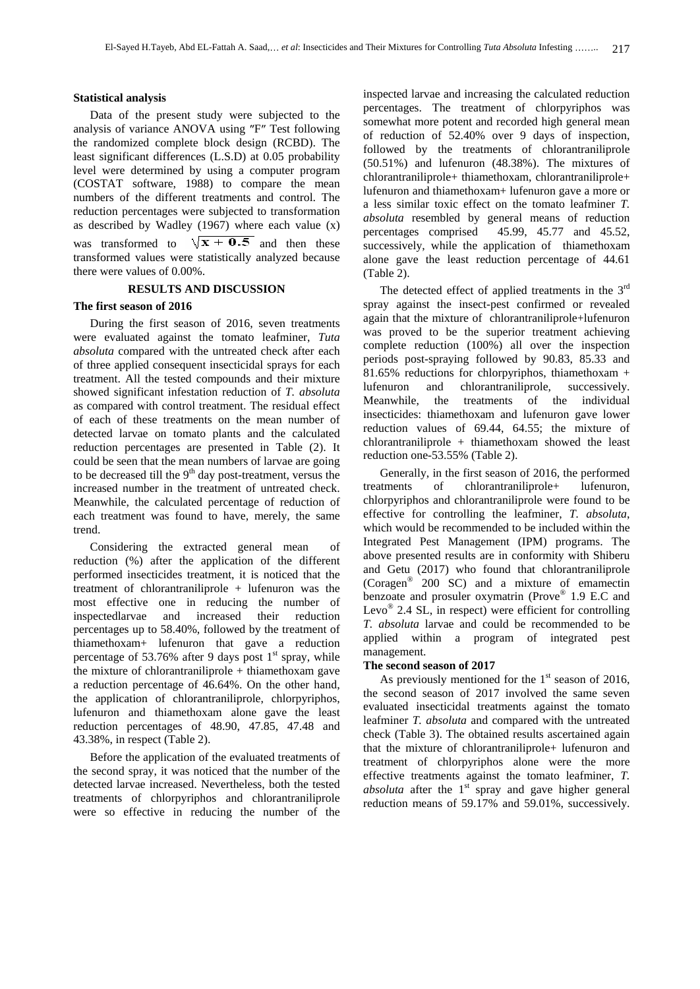Data of the present study were subjected to the analysis of variance ANOVA using "F" Test following the randomized complete block design (RCBD). The least significant differences (L.S.D) at 0.05 probability level were determined by using a computer program (COSTAT software, 1988) to compare the mean numbers of the different treatments and control. The reduction percentages were subjected to transformation as described by Wadley  $(1967)$  where each value (x) absolute resembled by general means of reduction percentages comprised  $45.99, 45.77$  and  $45.52$ , was transformed to  $\sqrt{x + 0.5}$  and then these successively, while the application of thiamethoxam there were values of 0.00%.

During the first season of 2016, seven treatments were evaluated against the tomato leafminer, *Tuta absoluta* compared with the untreated check after each of three applied consequent insecticidal sprays for each treatment. All the tested compounds and their mixture  $\frac{81.03\%}{81.03\%}$  reduction showed significant infestation reduction of *T. absoluta* lutenuron and the second variable of *Nearwhile*, as compared with control treatment. The residual effect of each of these treatments on the mean number of detected larvae on tomato plants and the calculated reduction percentages are presented in Table (2). It could be seen that the mean numbers of larvae are going to be decreased till the  $9<sup>th</sup>$  day post-treatment, versus the Generally, in the first season of 2016, the performed increased number in the treatment of untreated check. It reatments of chlorantraniliprole+ lufenuron increased number in the treatment of untreated check. Meanwhile, the calculated percentage of reduction of chlorpyriphos and chlorantraniliprole were found to be each treatment was found to have merely the same effective for controlling the leafminer, *T. absoluta*, each treatment was found to have, merely, the same trend. **The community of the community of the community of the community of the community of the community of the community of the community of the community of the community of the community of the community of the commun** 

Considering the extracted general mean of reduction (%) after the application of the different performed insecticides treatment, it is noticed that the treatment of chlorantraniliprole + lufenuron was the most effective one in reducing the number of inspectedlarvae and increased their reduction  $E_{\text{VQ}}$  2.4 SL, in respect were enclear to controlling percentages up to 58.40%, followed by the treatment of thiamethoxam+ lufenuron that gave a reduction applied will<br>nanagement. percentage of 53.76% after 9 days post  $1^{st}$  spray, while management.<br>the minture of ablenational this interaction care. The second season of 2017 the mixture of chlorantraniliprole  $+$  thiamethoxam gave a reduction percentage of 46.64%. On the other hand,<br>the application of chlorantraniliprole, chlorpyriphos, the second season of 2017 involved the same seven lufenuron and thiamethoxam alone gave the least reduction percentages of 48.90, 47.85, 47.48 and 43.38%, in respect (Table 2).

Before the application of the evaluated treatments of the second spray, it was noticed that the number of the detected larvae increased. Nevertheless, both the tested treatments of chlorpyriphos and chlorantraniliprole were so effective in reducing the number of the

**Statistical analysis** inspected larvae and increasing the calculated reduction transformed values were statistically analyzed because alone gave the least reduction percentage of 44.61 percentages. The treatment of chlorpyriphos was somewhat more potent and recorded high general mean of reduction of 52.40% over 9 days of inspection, followed by the treatments of chlorantraniliprole (50.51%) and lufenuron (48.38%). The mixtures of chlorantraniliprole+ thiamethoxam, chlorantraniliprole+ lufenuron and thiamethoxam+ lufenuron gave a more or a less similar toxic effect on the tomato leafminer *T. absoluta* resembled by general means of reduction percentages comprised 45.99, 45.77 and 45.52, successively, while the application of thiamethoxam (Table 2).

**RESULTS AND DISCUSSION** The detected effect of applied treatments in the 3<sup>rd</sup> **The first season of 2016** spray against the insect-pest confirmed or revealed rd again that the mixture of chlorantraniliprole+lufenuron was proved to be the superior treatment achieving complete reduction (100%) all over the inspection periods post-spraying followed by 90.83, 85.33 and 81.65% reductions for chlorpyriphos, thiamethoxam + chlorantraniliprole, successively. the treatments of the individual insecticides: thiamethoxam and lufenuron gave lower reduction values of 69.44, 64.55; the mixture of chlorantraniliprole + thiamethoxam showed the least reduction one-53.55% (Table 2).

<sup>th</sup> day post-treatment, versus the Generally, in the first season of 2016, the performed  $\frac{\text{m} \cdot \text{m}}{\text{m}}$  management. treatments of chlorantraniliprole+ lufenuron, chlorpyriphos and chlorantraniliprole were found to be effective for controlling the leafminer, *T. absoluta*, which would be recommended to be included within the Integrated Pest Management (IPM) programs. The above presented results are in conformity with Shiberu and Getu (2017) who found that chlorantraniliprole (Coragen® 200 SC) and a mixture of emamectin benzoate and prosuler oxymatrin (Prove® 1.9 E.C and 1.9 E.C and Levo<sup>®</sup> 2.4 SL, in respect) were efficient for controlling *T. absoluta* larvae and could be recommended to be applied within a program of integrated pest management.

### **The second season of 2017**

As previously mentioned for the  $1<sup>st</sup>$  season of 2016, As previously mentioned for the  $1<sup>st</sup>$  season of 2016, the second season of 2017 involved the same seven evaluated insecticidal treatments against the tomato leafminer *T. absoluta* and compared with the untreated check (Table 3). The obtained results ascertained again that the mixture of chlorantraniliprole+ lufenuron and treatment of chlorpyriphos alone were the more effective treatments against the tomato leafminer, *T. absoluta* after the  $1<sup>st</sup>$  spray and gave higher general reduction means of 59.17% and 59.01%, successively.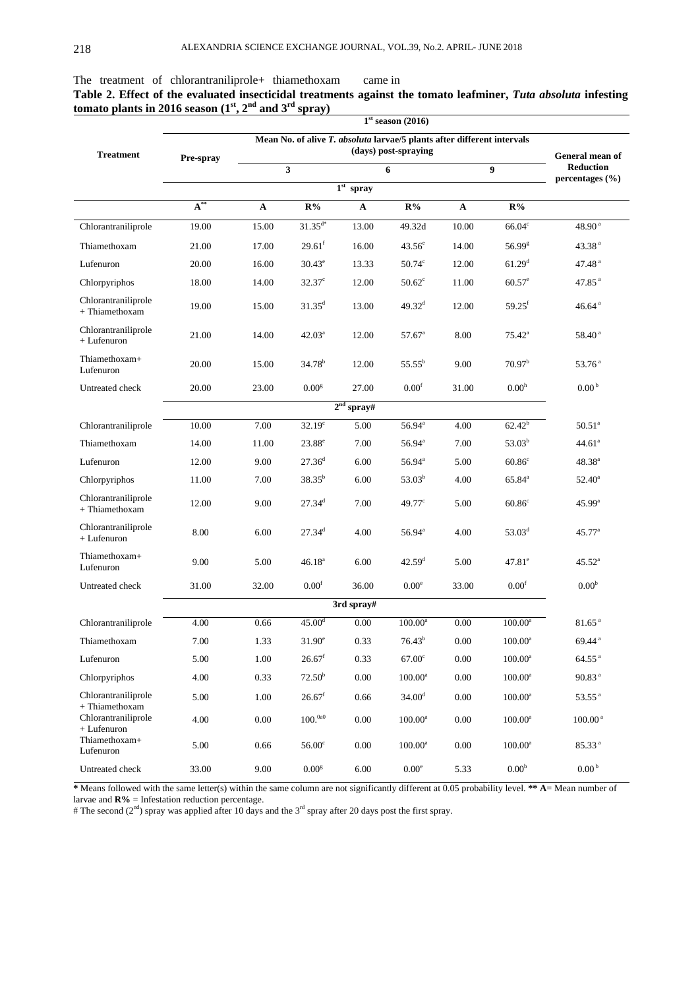|                                             |                                                                                 |                                                                                             |                                                                         | $1st$ season (2016)  |              |                                                 |                                                 |
|---------------------------------------------|---------------------------------------------------------------------------------|---------------------------------------------------------------------------------------------|-------------------------------------------------------------------------|----------------------|--------------|-------------------------------------------------|-------------------------------------------------|
|                                             |                                                                                 |                                                                                             | Mean No. of alive T. absoluta larvae/5 plants after different intervals |                      |              |                                                 |                                                 |
| <b>Treatment</b>                            | Pre-spray                                                                       |                                                                                             |                                                                         | (days) post-spraying |              |                                                 | General mean of                                 |
|                                             |                                                                                 |                                                                                             |                                                                         | 6                    |              | $\bullet$                                       | <b>Reduction</b><br>percentages $(\% )$         |
|                                             |                                                                                 |                                                                                             | $1st$ spray                                                             |                      |              |                                                 |                                                 |
|                                             | $-88$<br>$\mathbf{A}$                                                           | $\mathbf{A}$                                                                                | $\mathbf{R}$ %<br>$\mathbf{A}$                                          | $R\%$                | $\mathbf{A}$ | $R\%$                                           | the contract of the contract of the contract of |
| Chlorantraniliprole                         | 19.00                                                                           | 15.00                                                                                       | 13.00<br>$31.35^{\circ}$                                                | 49.32d               | 10.00        | $66.04^{\circ}$                                 | $48.90^{\text{ a}}$                             |
| Thiamethoxam                                | 21.00                                                                           | 17.00                                                                                       | 16.00<br>29.61                                                          | $43.56^{\circ}$      | 14.00        | $56.99^{\text{g}}$                              | 43.38 <sup>a</sup>                              |
| Lufenuron                                   | 20.00                                                                           | 16.00                                                                                       | 13.33<br>30.43 <sup>°</sup>                                             | $50.74^\circ$        | 12.00        | $61.29^{\rm d}$                                 | 47.48 <sup>a</sup>                              |
| Chlorpyriphos                               | 18.00                                                                           | 14.00                                                                                       | $32.37^\circ$<br>12.00                                                  | $50.62^{\circ}$      | 11.00        | $60.57^e$                                       | $47.85$ <sup>a</sup>                            |
| Chlorantraniliprole<br>+ Thiamethoxam       | 19.00                                                                           | 15.00                                                                                       | 13.00<br>$31.35^{\rm d}$                                                | $49.32^{\rm d}$      | 12.00        | $59.25^{\rm f}$                                 | 46.64 <sup>a</sup>                              |
| Chlorantraniliprole                         |                                                                                 |                                                                                             |                                                                         |                      |              |                                                 |                                                 |
| + Lufenuron                                 | 21.00                                                                           | 14.00                                                                                       | $42.03^{\circ}$<br>12.00                                                | $57.67^{\circ}$      | 8.00         | $75.42^{\circ}$                                 | $58.40^{\text{ a}}$                             |
| Thiamethoxam+<br>Lufenuron                  | 20.00                                                                           | 15.00                                                                                       | $34.78^{\rm b}$<br>12.00                                                | $55.55^{\rm b}$      | 9.00         | 70.97 <sup>b</sup>                              | $53.76^{\text{ a}}$                             |
| Untreated check                             | 20.00                                                                           | 23.00                                                                                       | 27.00<br>$0.00^{\rm g}$                                                 | $0.00^\mathrm{f}$    | 31.00        | 0.00 <sup>h</sup>                               | 0.00 <sup>b</sup>                               |
|                                             | the contract of the contract of the contract of the contract of the contract of |                                                                                             | $2nd$ spray#                                                            |                      |              |                                                 |                                                 |
| Chlorantraniliprole                         | the contract of the contract of the<br>10.00                                    | 7.00                                                                                        | $32.19^\circ$<br>5.00                                                   | 56.94 <sup>a</sup>   | 4.00         | $62.42^{b}$                                     | $50.51^{\circ}$                                 |
| Thiamethoxam                                | 14.00                                                                           | 11.00                                                                                       | 23.88<br>7.00                                                           | 56.94 <sup>ª</sup>   | 7.00         | $53.03^{b}$                                     | $44.61^{\circ}$                                 |
| Lufenuron                                   | 12.00                                                                           | 9.00                                                                                        | 27.36<br>6.00                                                           | $56.94^{\circ}$      | 5.00         | $60.86^\circ$                                   | $48.38^{\rm a}$                                 |
| Chlorpyriphos                               | 11.00                                                                           | 7.00                                                                                        | $38.35^{\circ}$<br>6.00                                                 | $53.03^{b}$          | 4.00         | $65.84^{\circ}$                                 | $52.40^{\circ}$                                 |
| Chlorantraniliprole<br>+ Thiamethoxam       | 12.00                                                                           | 9.00                                                                                        | 27.34 <sup>d</sup><br>7.00                                              | $49.77^{\circ}$      | 5.00         | $60.86^{\circ}$                                 | $45.99^{\rm a}$                                 |
| Chlorantraniliprole                         |                                                                                 |                                                                                             |                                                                         |                      |              |                                                 |                                                 |
| + Lufenuron                                 | 8.00                                                                            | 6.00                                                                                        | $27.34^{\rm d}$<br>4.00                                                 | $56.94^{\rm a}$      | 4.00         | $53.03^{\rm d}$                                 | $45.77^{\circ}$                                 |
| Thiamethoxam+<br>Lufenuron                  | 9.00                                                                            | 5.00                                                                                        | $46.18^{\rm a}$<br>6.00                                                 | 42.59 <sup>d</sup>   | 5.00         | $47.81^{\circ}$                                 | $45.52^{\rm a}$                                 |
| Untreated check                             | 31.00                                                                           | 32.00                                                                                       | $0.00^{\rm t}$<br>36.00                                                 | $0.00^e$             | 33.00        | $0.00^{\rm t}$                                  | 0.00 <sup>b</sup>                               |
|                                             | the contract of the contract of the contract of the contract of the contract of |                                                                                             | 3rd spray#                                                              |                      |              | the contract of the contract of the contract of |                                                 |
| Chlorantraniliprole                         | <b>Contract Contract Contract Contract Contract</b><br>4.00                     | 0.66 $45.00^{\circ}$                                                                        |                                                                         | $0.00$ $100.00^a$    | $0.00\,$     | $100.00^{\mathrm{a}}$                           | 81.65 <sup>a</sup>                              |
| Thiamethoxam                                | 7.00                                                                            | 1.33 $31.90^e$                                                                              |                                                                         |                      |              | 0.33 $76.43^b$ 0.00 $100.00^a$                  | 69.44 $^{\rm a}$                                |
| Lufenuron                                   |                                                                                 | 5.00 1.00 $26.67^f$ 0.33 $67.00^c$ 0.00 $100.00^a$                                          |                                                                         |                      |              |                                                 | $64.55$ <sup>a</sup>                            |
| Chlorpyriphos                               |                                                                                 | 4.00 		 0.33 		 72.50 <sup>b</sup> 0.00 		 100.00 <sup>a</sup> 0.00 		 100.00 <sup>a</sup>  |                                                                         |                      |              |                                                 | 90.83 <sup>a</sup>                              |
| Chlorantraniliprole<br>+ Thiamethoxam       | 5.00                                                                            | 1.00 $26.67^{\text{f}}$ 0.66 $34.00^{\text{d}}$ 0.00 $100.00^{\text{a}}$ 53.55 <sup>a</sup> |                                                                         |                      |              |                                                 |                                                 |
| Chlorantraniliprole                         |                                                                                 | 4.00 $0.00$ $100.^{0a0}$ $0.00$ $100.00^a$ $0.00$ $100.00^a$ $100.00^a$                     |                                                                         |                      |              |                                                 |                                                 |
| $+$ Lufenuron<br>Thiamethoxam+<br>Lufenuron |                                                                                 | 5.00 $0.66$ 56.00° $0.00$ $100.00^a$ $0.00$ $100.00^a$ $85.33^a$                            |                                                                         |                      |              |                                                 |                                                 |
|                                             |                                                                                 |                                                                                             |                                                                         |                      |              |                                                 |                                                 |

The treatment of chlorantraniliprole+ thiamethoxam came in **Table 2. Effect of the evaluated insecticidal treatments against the tomato leafminer,** *Tuta absoluta* **infesting tomato plants in 2016 season** ( $1^{\text{st}}, 2^{\text{nd}}$  and  $3^{\text{rd}}$  spray)

**\*** Means followed with the same letter(s) within the same column are not significantly different at 0.05 probability level. **\*\* A**= Mean number of

larvae and **R%** = Infestation reduction percentage.

The second  $(2<sup>nd</sup>)$  spray was applied after 10 days and the 3<sup>rd</sup> spray after 20 days post the first spray.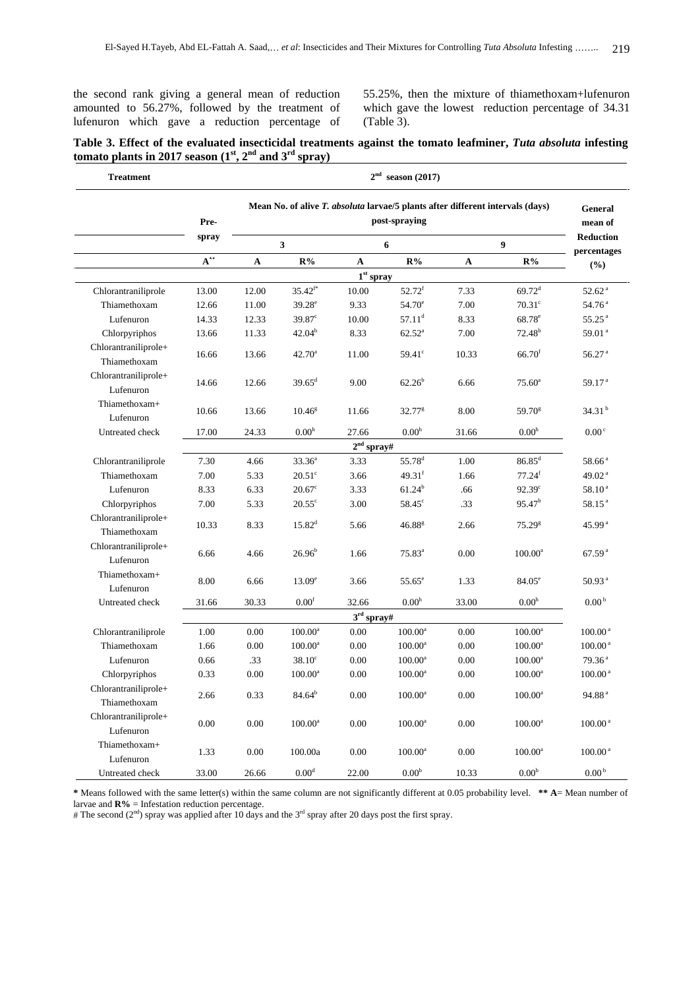amounted to 56.27%, followed by the treatment of which gave the lowest reduction percentage of 34.31 lufenuron which gave a reduction percentage of (Table 3).

the second rank giving a general mean of reduction 55.25%, then the mixture of thiamethoxam+lufenuron (Table 3).

### **Table 3. Effect of the evaluated insecticidal treatments against the tomato leafminer,** *Tuta absoluta* **infesting tomato plants in 2017 season** ( $I^{\text{st}}, 2^{\text{nd}}$  and  $3^{\text{rd}}$  spray) **, 2nd and 3 rd spray)**

| <b>Treatment</b>              |                                                   |             |                                       |              | $2nd$ season (2017)   |              |                                                                                        | the contract of the contract of the contract of the contract of the contract of |
|-------------------------------|---------------------------------------------------|-------------|---------------------------------------|--------------|-----------------------|--------------|----------------------------------------------------------------------------------------|---------------------------------------------------------------------------------|
|                               |                                                   |             |                                       |              |                       |              | Mean No. of alive T. absoluta larvae/5 plants after different intervals (days) General |                                                                                 |
|                               | Pre-                                              |             |                                       |              | post-spraying         |              |                                                                                        |                                                                                 |
|                               |                                                   |             |                                       |              |                       |              |                                                                                        | mean of<br>Reduction                                                            |
|                               |                                                   |             |                                       |              | 6 <sup>6</sup>        |              |                                                                                        | percentages                                                                     |
|                               |                                                   |             | $A^*$ $A$ $R\%$                       | $\mathbf{A}$ | $R\%$                 | $\mathbf{A}$ | $R\%$                                                                                  | (%)                                                                             |
| the control of the control of |                                                   |             |                                       |              | $1st$ spray           |              |                                                                                        |                                                                                 |
| Chlorantraniliprole           |                                                   |             | 13.00 12.00 $35.42^{\text{f*}}$ 10.00 |              | $52.72^{\rm f}$       | 7.33         | $69.72^{\rm d}$                                                                        | 52.62 <sup>a</sup>                                                              |
| Thiamethoxam                  | 12.66                                             | 11.00       | $39.28^e$                             | 9.33         | $54.70^e$             | 7.00         | $70.31^{\circ}$                                                                        | 54.76 <sup>a</sup>                                                              |
| Lufenuron                     | 14.33                                             | 12.33       | $39.87^\circ$                         | 10.00        | $57.11^{\rm d}$       | 8.33         | $68.78^{\circ}$                                                                        | $55.25^{\text{a}}$                                                              |
| Chlorpyriphos                 |                                                   | 13.66 11.33 | $42.04^b$                             | 8.33         | $62.52^{\rm a}$       | 7.00         | $72.48^{\rm b}$                                                                        | 59.01 $^{\rm a}$                                                                |
| Chlorantraniliprole+          | 16.66                                             | 13.66       | $42.70^{\circ}$                       | 11.00        | $59.41^\circ$         | 10.33        | $66.70^{\rm f}$                                                                        | $56.27$ <sup>a</sup>                                                            |
| Thiamethoxam                  |                                                   |             |                                       |              |                       |              |                                                                                        |                                                                                 |
| Chlorantraniliprole+          |                                                   | 14.66 12.66 | $39.65^{\rm d}$                       | 9.00         | $62.26^b$             | 6.66         | $75.60^{\rm a}$                                                                        | 59.17 $^{a}$                                                                    |
| Lufenuron                     |                                                   |             |                                       |              |                       |              |                                                                                        |                                                                                 |
| Thiamethoxam+                 | 10.66                                             | 13.66       | $10.46^{\rm g}$                       | 11.66        | $32.77^g$             | 8.00         | $59.70^{\circ}$                                                                        | 34.31 $^{\rm b}$                                                                |
| Lufenuron<br>Untreated check  |                                                   |             | 17.00 24.33 $0.00^h$                  | 27.66        | $0.00^{\rm h}$        |              | $0.00^{\rm h}$                                                                         | $0.00\degree$                                                                   |
|                               |                                                   |             |                                       |              | $2nd$ spray#          | 31.66        |                                                                                        |                                                                                 |
| Chlorantraniliprole           | <u>and the community of the community</u><br>7.30 | 4.66        | $33.36^{\circ}$                       | 3.33         | 55.78 <sup>d</sup>    | 1.00         | $86.85^{\rm d}$                                                                        | $58.66^{\text{ a}}$                                                             |
| Thiamethoxam                  | 7.00                                              | 5.33        | $20.51^\circ$                         | 3.66         | $49.31$ <sup>t</sup>  | 1.66         | $77.24$ <sup>f</sup>                                                                   | 49.02 $^{\rm a}$                                                                |
| Lufenuron                     | 8.33                                              | 6.33        | $20.67^{\circ}$                       | 3.33         | $61.24^b$             | .66          | 92.39 <sup>c</sup>                                                                     | 58.10 <sup>a</sup>                                                              |
| Chlorpyriphos                 | 7.00                                              | 5.33        | $20.55^{\circ}$                       | 3.00         | 58.45 <sup>c</sup>    | 33           | 95.47 <sup>b</sup>                                                                     | 58.15 <sup>a</sup>                                                              |
| Chlorantraniliprole+          |                                                   |             |                                       |              |                       |              |                                                                                        |                                                                                 |
| Thiamethoxam                  | 10.33                                             | 8.33        | $15.82^{\rm d}$                       | 5.66         | 46.88 <sup>g</sup>    | 2.66         | 75.29 <sup>g</sup>                                                                     | 45.99 <sup>a</sup>                                                              |
| Chlorantraniliprole+          |                                                   |             |                                       |              |                       |              |                                                                                        |                                                                                 |
| Lufenuron                     | 6.66                                              | 4.66        | $26.96^b$                             | 1.66         | $75.83^{\rm a}$       | $0.00\,$     | $100.00^{\rm a}$                                                                       | 67.59 <sup>a</sup>                                                              |
| Thiamethoxam+                 |                                                   |             |                                       |              |                       |              |                                                                                        |                                                                                 |
| Lufenuron                     | 8.00                                              | 6.66        | $13.09^e$                             | 3.66         | $55.65^{\circ}$       | 1.33         | $84.05^{\circ}$                                                                        | 50.93 <sup>a</sup>                                                              |
| Untreated check               |                                                   |             | 31.66 30.33 $0.00^f$ 32.66 $0.00^h$   |              |                       | 33.00        | 0.00 <sup>h</sup>                                                                      | 0.00 <sup>b</sup>                                                               |
|                               | ___                                               |             |                                       |              | $3^{\rm rd}$ sprav#   |              | $\sim$                                                                                 |                                                                                 |
| Chlorantraniliprole           | <u>and the community of the community</u><br>1.00 | 0.00        | $100.00^{\circ}$                      | $0.00\,$     | $100.00^{\rm a}$      | $0.00\,$     | $100.00^{\mathrm{a}}$                                                                  | $100.00^{\text{a}}$                                                             |
| Thiamethoxam                  | 1.66                                              | 0.00        | $100.00^a$                            | 0.00         | $100.00^a$            | 0.00         | $100.00^{\rm a}$                                                                       | $100.00^{\text{a}}$                                                             |
| Lufenuron                     | 0.66                                              | $-33$       | $38.10^{\circ}$                       | $0.00\,$     | $100.00^{\mathrm{a}}$ | $0.00\,$     | $100.00^{\rm a}$                                                                       | 79.36 <sup>a</sup>                                                              |
| Chlorpyriphos                 | 0.33                                              | 0.00        | $100.00^{\rm a}$                      | $0.00\,$     | $100.00^{\rm a}$      | $0.00\,$     | $100.00^{\rm a}$                                                                       | $100.00^{\text{ a}}$                                                            |
| Chlorantraniliprole+          |                                                   |             |                                       |              |                       |              |                                                                                        |                                                                                 |
| Thiamethoxam                  | 2.66                                              | 0.33        | 84.64 <sup>b</sup>                    | $0.00\,$     | $100.00^{\rm a}$      | 0.00         | $100.00^{\rm a}$                                                                       | 94.88 $^{\rm a}$                                                                |
| Chlorantraniliprole+          |                                                   |             |                                       |              |                       |              |                                                                                        |                                                                                 |
| Lufenuron                     | $0.00\,$                                          | 0.00        | $100.00^{\circ}$                      | 0.00         | $100.00^{\rm a}$      | 0.00         | $100.00^{\mathrm{a}}$                                                                  | $100.00^{\text{ a}}$                                                            |
| Thiamethoxam+                 |                                                   |             |                                       |              |                       |              |                                                                                        |                                                                                 |
| Lufenuron                     | 1.33                                              | 0.00        | 100.00a                               | 0.00         | $100.00^a$            | 0.00         | $100.00^a$                                                                             | $100.00^{\text{a}}$                                                             |
| Untreated check               | 33.00                                             | 26.66       | $0.00^d$                              | 22.00        | 0.00 <sup>b</sup>     | 10.33        | 0.00 <sup>b</sup>                                                                      | 0.00 <sup>b</sup>                                                               |

**\*** Means followed with the same letter(s) within the same column are not significantly different at 0.05 probability level. **\*\* A**= Mean number of larvae and  $\mathbb{R}\%$  = Infestation reduction percentage.

The second  $(2<sup>nd</sup>)$  spray was applied after 10 days and the 3<sup>rd</sup> spray after 20 days post the first spray.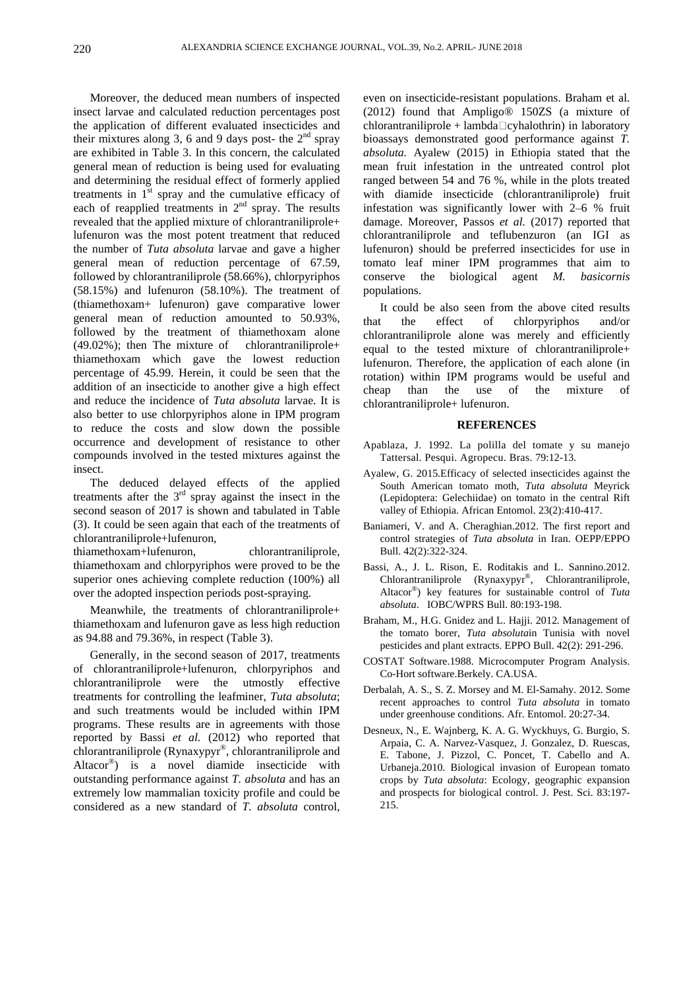insect larvae and calculated reduction percentages post (2012) found that Ampligo® 150ZS (a mixture of the application of different evaluated insecticides and chlorantraniliprole + lambda □ cyhalothrin) in laboratory their mixtures along 3, 6 and 9 days post- the  $2<sup>nd</sup>$  spray bioassays demonstrated good performance against *T*. are exhibited in Table 3. In this concern, the calculated *absoluta.* Ayalew (2015) in Ethiopia stated that the general mean of reduction is being used for evaluating mean fruit infestation in the untreated control plot and determining the residual effect of formerly applied ranged between 54 and 76 %, while in the plots treated treatments in  $1<sup>st</sup>$  spray and the cumulative efficacy of with diamide insecticide (chlorantraniliprole) fruit each of reapplied treatments in  $2<sup>nd</sup>$  spray. The results infestation was significantly lower with  $2-6$  % fruit revealed that the applied mixture of chlorantraniliprole+ damage. Moreover, Passos *et al.* (2017) reported that lufenuron was the most potent treatment that reduced chlorantraniliprole and teflubenzuron (an IGI as the number of *Tuta absoluta* larvae and gave a higher lufenuron) should be preferred insecticides for use in general mean of reduction percentage of 67.59, tomato leaf miner IPM programmes that aim to<br>followed by chlorantraniliprole (58.66%), chlorpyriphos conserve the biological agent *M. basicornis* (58.15%) and lufenuron (58.10%). The treatment of (thiamethoxam+ lufenuron) gave comparative lower general mean of reduction amounted to 50.93%, that the effect of chlorpyriphos and/or<br>followed by the treatment of thiamethoxam alone chlorantraniliprole alone was merely and efficiently (49.02%); then The mixture of chlorantraniliprole+ equal to the tested mixture of chlorantraniliprole+ thiamethoxam which gave the lowest reduction percentage of 45.99. Herein, it could be seen that the addition of an insecticide to another give a high effect cheap than the use of the mixture of and reduce the incidence of *Tuta absoluta* larvae. It is also better to use chlorpyriphos alone in IPM program<br>to reduce the costs and slow down the possible<br>REFERENCES to reduce the costs and slow down the possible occurrence and development of resistance to other compounds involved in the tested mixtures against the insect. Ayalew, G. 2015.Efficacy of selected insecticides against the

The deduced delayed effects of the applied treatments after the  $3<sup>rd</sup>$  spray against the insect in the second season of 2017 is shown and tabulated in Table valley of Ethiopia. African Entomol. 23(2):410-417. (3). It could be seen again that each of the treatments of Baniameri, V. and A. Cheraghian. 2012. The first report and

thiamethoxam+lufenuron, chlorantraniliprole, Bull. 42(2):322-324. thiamethoxam and chlorpyriphos were proved to be the Bassi, A., J. L. Rison, E. Roditakis and L. Sannino.2012. superior ones achieving complete reduction (100%) all Chlorantraniliprole (Rynaxypyr<sup>®</sup>, Chlorantraniliprole, over the adopted inspection periods post-spraying.

Meanwhile, the treatments of chlorantraniliprole+ thiamethoxam and lufenuron gave as less high reduction as 94.88 and 79.36%, in respect (Table 3).

Generally, in the second season of 2017, treatments<br>COSTAT Software.1988. Microcomputer Program Analysis. of chlorantraniliprole+lufenuron, chlorpyriphos and Co-Hort software. Berkely. CA.USA. chlorantraniliprole were the utmostly effective Derbalah, A. S., S. Z. Morsey and M. El-Samahy. 2012. Some treatments for controlling the leafminer, *Tuta absoluta*;<br>recent approaches to control *Tuta absoluta* in tomato and such treatments would be included within IPM programs. These results are in agreements with those reported by Bassi *et al.* (2012) who reported that chlorantraniliprole (Rynaxypyr®, chlorantraniliprole and outstanding performance against *T. absoluta* and has an extremely low mammalian toxicity profile and could be considered as a new standard of *T. absoluta* control,

Moreover, the deduced mean numbers of inspected even on insecticide-resistant populations. Braham et al. tomato leaf miner IPM programmes that aim to conserve the biological agent *M. basicornis* populations.

> It could be also seen from the above cited results that the effect of chlorpyriphos and/or chlorantraniliprole alone was merely and efficiently lufenuron. Therefore, the application of each alone (in rotation) within IPM programs would be useful and cheap than the use of the mixture of chlorantraniliprole+ lufenuron.

### **REFERENCES**

- Apablaza, J. 1992. La polilla del tomate y su manejo Tattersal. Pesqui. Agropecu. Bras. 79:12-13.
- <sup>rd</sup> spray against the insect in the (Lepidoptera: Gelechiidae) on tomato in the central Rift South American tomato moth, *Tuta absoluta* Meyrick
- chlorantraniliprole+lufenuron, control strategies of *Tuta absoluta* in Iran. OEPP/EPPO valley of Ethiopia. African Entomol. 23(2):410-417. Baniameri, V. and A. Cheraghian.2012. The first report and
	- Bull. 42(2):322-324.<br>Bassi, A., J. L. Rison, E. Roditakis and L. Sannino.2012.<br>Chlorantraniliprole (Rynaxypyr®, Chlorantraniliprole, Altacor® ) key features for sustainable control of *Tuta absoluta*. IOBC/WPRS Bull. 80:193-198.
	- Braham, M., H.G. Gnidez and L. Hajji. 2012. Management of the tomato borer, *Tuta absoluta*in Tunisia with novel pesticides and plant extracts. EPPO Bull. 42(2): 291-296.
	- COSTAT Software.1988. Microcomputer Program Analysis. Co-Hort software.Berkely. CA.USA.
	- Derbalah, A. S., S. Z. Morsey and M. El-Samahy. 2012. Some recent approaches to control *Tuta absoluta* in tomato under greenhouse conditions. Afr. Entomol. 20:27-34.
- , chlorantraniliprole and E. Tabone, J. Pizzol, C. Poncet, T. Cabello and A. Altacor<sup>®</sup>) is a novel diamide insecticide with Urbaneja.2010. Biological invasion of European tomato Desneux, N., E. Wajnberg, K. A. G. Wyckhuys, G. Burgio, S. Arpaia, C. A. Narvez-Vasquez, J. Gonzalez, D. Ruescas, Urbaneja.2010. Biological invasion of European tomato crops by *Tuta absoluta*: Ecology, geographic expansion and prospects for biological control. J. Pest. Sci. 83:197- 215.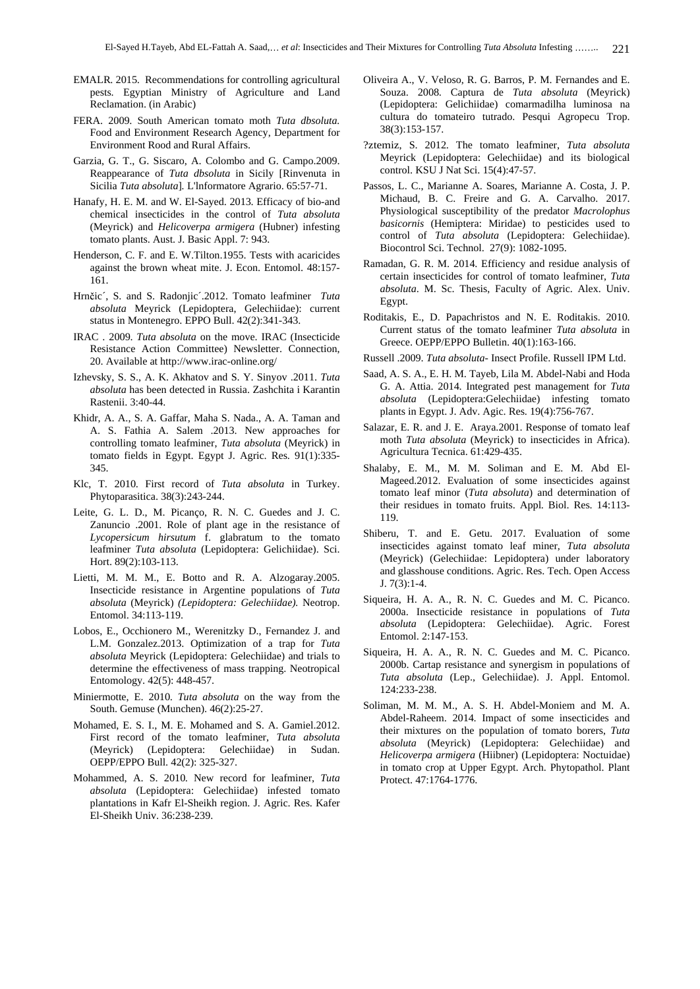- EMALR. 2015. Recommendations for controlling agricultural Oliveira A., V. Veloso, R. G. Barros, P. M. Fernandes and E.
- FERA. 2009. South American tomato moth *Tuta dbsoluta.* Food and Environment Research Agency, Department for Environment Rood and Rural Affairs. ?ztemiz, S. 2012. The tomato leafminer, *Tuta absoluta*
- Garzia, G. T., G. Siscaro, A. Colombo and G. Campo.2009. Meyrick (Lepidoptera: Gelechiidae) and its biological<br>Reappearance of *Tuta dbsoluta* in Sicily [Rinvenuta in control. KSU J Nat Sci. 15(4):47-57.
- (Meyrick) and *Helicoverpa armigera* (Hubner) infesting
- Henderson, C. F. and E. W.Tilton.1955. Tests with acaricides<br>against the brown wheat mite J. Econ. Entomol. 48:157. Ramadan, G. R. M. 2014. Efficiency and residue analysis of against the brown wheat mite. J. Econ. Entomol. 48:157-
- Hrnčic´, S. and S. Radonjic´.2012. Tomato leafminer *Tuta* Egypt. *absoluta* Meyrick (Lepidoptera, Gelechiidae): current<br>status in Montenegro EPPO Bull 42(2):341-343<br>Roditakis, E., D. Papachristos and N. E. Roditakis. 2010.
- IRAC . 2009. *Tuta absoluta* on the move. IRAC (Insecticide Resistance Action Committee) Newsletter. Connection, 20. Available at http://www.irac-online.org/
- Izhevsky, S. S., A. K. Akhatov and S. Y. Sinyov .2011. *Tuta absoluta* has been detected in Russia. Zashchita i Karantin
- Khidr, A. A., S. A. Gaffar, Maha S. Nada., A. A. Taman and A. S. Fathia A. Salem .2013. New approaches for controlling tomato leafminer, *Tuta absoluta* (Meyrick) in tomato fields in Egypt. Egypt J. Agric. Res. 91(1):335-
- Klc, T. 2010. First record of *Tuta absoluta* in Turkey.
- Let, G. L. D., M. Picanço, K. N. C. Queues and J. C.  $119$ .<br>Zanuncio .2001. Role of plant age in the resistance of *Lycopersicum hirsutum* f. glabratum to the tomato leafminer *Tuta absoluta* (Lepidoptera: Gelichiidae). Sci.
- Lietti, M. M., H. Botto and R. A. Alzogaray.2005. Insecticide resistance in Argentine populations of *Tuta* J. 7(3):1-4. *absoluta* (Meyrick) *(Lepidoptera: Gelechiidae).* Neotrop.
- Lobos, E., Occhionero M., Werenitzky D., Fernandez J. and L.M. Gonzalez.2013. Optimization of a trap for *Tuta absoluta* Meyrick (Lepidoptera: Gelechiidae) and trials to determine the effectiveness of mass trapping. Neotropical
- Miniermotte, E. 2010. *Tuta absoluta* on the way from the 124:233-238.
- (Meyrick) (Lepidoptera: Gelechiidae) in Sudan.
- Mohammed, A. S. 2010. New record for leafminer, *Tuta absoluta* (Lepidoptera: Gelechiidae) infested tomato plantations in Kafr El-Sheikh region. J. Agric. Res. Kafer
- pests. Egyptian Ministry of Agriculture and Land Souza. 2008. Captura de Tuta absoluta (Meyrick) Reclamation. (in Arabic) (Lepidoptera: Gelichiidae) comarmadilha luminosa na cultura do tomateiro tutrado. Pesqui Agropecu Trop. 38(3):153-157.
	- Meyrick (Lepidoptera: Gelechiidae) and its biological control. KSU J Nat Sci. 15(4):47-57.
- Sicilia *Tuta absoluta*]*.* L'lnformatore Agrario. 65:57-71. Passos, L. C., Marianne A. Soares, Marianne A. Costa, J. P. Hanafy, H. E. M. and W. El-Sayed. 2013. Efficacy of bio-and Michaud, B. C. Freire and G. A. Carvaino. 2017.<br>
chemical insecticides in the control of *Tuta absoluta* Physiological susceptibility of the predator *Macrolophus* tomato plants. Aust. J. Basic Appl. 7: 943.<br>
tomato plants. Australian and *Soluta* (Lepidoptera: Gelechiidae).<br>
Biocontrol Sci. Technol. 27(9): 1082-1095. Michaud, B. C. Freire and G. A. Carvalho. 2017. Physiological susceptibility of the predator *Macrolophus basicornis* (Hemiptera: Miridae) to pesticides used to control of *Tuta absoluta* (Lepidoptera: Gelechiidae). Biocontrol Sci. Technol. 27(9): 1082-1095. Ramadan, G. R. M. 2014. Efficiency and residue analysis of
	- 161. certain insecticides for control of tomato leafminer, *Tuta absoluta*. M. Sc. Thesis, Faculty of Agric. Alex. Univ. Egypt.
	- status in Montenegro. EPPO Bull. 42(2):341-343.<br>Current status of the tomato leafminer Tuta absoluta in Roditakis, E., D. Papachristos and N. E. Roditakis. 2010. Current status of the tomato leafminer *Tuta absoluta* in Greece. OEPP/EPPO Bulletin. 40(1):163-166.
		- Russell .2009. *Tuta absoluta-* Insect Profile. Russell IPM Ltd.
	- Rastenii. 3:40-44. *absoluta* (Lepidoptera:Gelechiidae) infesting tomato Saad, A. S. A., E. H. M. Tayeb, Lila M. Abdel-Nabi and Hoda G. A. Attia. 2014. Integrated pest management for *Tuta*  plants in Egypt. J. Adv. Agic. Res. 19(4):756-767.
		- Salazar, E. R. and J. E. Araya.2001. Response of tomato leaf moth *Tuta absoluta* (Meyrick) to insecticides in Africa). Agricultura Tecnica. 61:429-435.
- 345. Shalaby, E. M., M. M. Soliman and E. M. Abd El- Phytoparasitica. 38(3):243-244. Leite, G. L. D., M. Picanço, R. N. C. Guedes and J. C. Their residues in tomato fruits. Appl. Biol. Res. 14:113-Mageed.2012. Evaluation of some insecticides against tomato leaf minor (*Tuta absoluta*) and determination of their residues in tomato fruits. Appl. Biol. Res. 14:113- 119.
	- Hort. 89(2):103-113. (Meyrick) (Gelechiidae: Lepidoptera) under laboratory Shiberu, T. and E. Getu. 2017. Evaluation of some insecticides against tomato leaf miner, *Tuta absoluta* and glasshouse conditions. Agric. Res. Tech. Open Access J. 7(3):1-4. Siqueira, H. A. A., R. N. C. Guedes and M. C. Picanco.
	- Entomol. 34:113-119. 2000a. Insecticide resistance in populations of *Tuta absoluta* (Lepidoptera: Gelechiidae). Agric. Forest Entomol. 2:147-153.
	- Entomology. 42(5): 448-457. *Tuta absoluta* (Lep., Gelechiidae). J. Appl. Entomol. Siqueira, H. A. A., R. N. C. Guedes and M. C. Picanco. 2000b. Cartap resistance and synergism in populations of 124:233-238.
- South. Gemuse (Munchen). 46(2):25-27. Soliman, M. M. M., A. S. H. Abdel-Moniem and M. A. Mohamed, E. S. I., M. E. Mohamed and S. A. Gamiel.2012.<br>First record of the tomato leafminer, *Tuta absoluta* their mixtures on the population of tomato because the tomato leafminer, *Tuta absoluta absoluta* (Mayrick). OEPP/EPPO Bull. 42(2): 325-327.<br>in tomato crop at Upper Egypt. Arch. Phytopathol. Plant **(I.E.** S. Barros, P. Barros, P. Barros, P. Barros, P. Barros, P. Barros, P. Barros, P. Barros, P. Barros, P. Barros, P. Barros, P. Barros, P. Barros, P. Barros, P. Barros, P. Barros, P. Barros, P. Barros, P. Barros, P. Ba Abdel-Raheem. 2014. Impact of some insecticides and their mixtures on the population of tomato borers, *Tuta absoluta* (Meyrick) (Lepidoptera: Gelechiidae) and *Helicoverpa armigera* (Hiibner) (Lepidoptera: Noctuidae) Protect. 47:1764-1776.